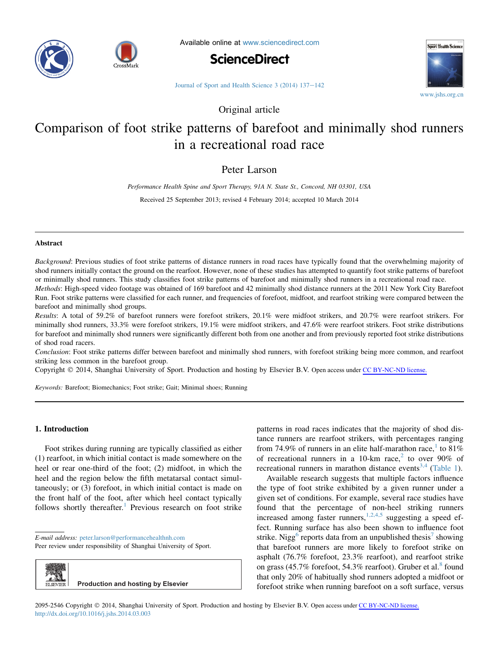



Available online at [www.sciencedirect.com](www.sciencedirect.com/science/journal/20952546)





Journal of Sport and [Health Science](http://dx.doi.org/10.1016/j.jshs.2014.03.003)  $3(2014) 137-142$  $3(2014) 137-142$ 

Original article

# Comparison of foot strike patterns of barefoot and minimally shod runners in a recreational road race

# Peter Larson

Performance Health Spine and Sport Therapy, 91A N. State St., Concord, NH 03301, USA

Received 25 September 2013; revised 4 February 2014; accepted 10 March 2014

#### Abstract

Background: Previous studies of foot strike patterns of distance runners in road races have typically found that the overwhelming majority of shod runners initially contact the ground on the rearfoot. However, none of these studies has attempted to quantify foot strike patterns of barefoot or minimally shod runners. This study classifies foot strike patterns of barefoot and minimally shod runners in a recreational road race.

Methods: High-speed video footage was obtained of 169 barefoot and 42 minimally shod distance runners at the 2011 New York City Barefoot Run. Foot strike patterns were classified for each runner, and frequencies of forefoot, midfoot, and rearfoot striking were compared between the barefoot and minimally shod groups.

Results: A total of 59.2% of barefoot runners were forefoot strikers, 20.1% were midfoot strikers, and 20.7% were rearfoot strikers. For minimally shod runners, 33.3% were forefoot strikers, 19.1% were midfoot strikers, and 47.6% were rearfoot strikers. Foot strike distributions for barefoot and minimally shod runners were significantly different both from one another and from previously reported foot strike distributions of shod road racers.

Conclusion: Foot strike patterns differ between barefoot and minimally shod runners, with forefoot striking being more common, and rearfoot striking less common in the barefoot group.

Copyright © 2014, Shanghai University of Sport. Production and hosting by Elsevier B.V. Open access under [CC BY-NC-ND license.](http://creativecommons.org/licenses/by-nc-nd/4.0/)

Keywords: Barefoot; Biomechanics; Foot strike; Gait; Minimal shoes; Running

## 1. Introduction

Foot strikes during running are typically classified as either (1) rearfoot, in which initial contact is made somewhere on the heel or rear one-third of the foot; (2) midfoot, in which the heel and the region below the fifth metatarsal contact simultaneously; or (3) forefoot, in which initial contact is made on the front half of the foot, after which heel contact typically follows shortly thereafter.<sup>[1](#page-5-0)</sup> Previous research on foot strike

E-mail address: [peter.larson@performancehealthnh.com](mailto:peter.larson@performancehealthnh.com) Peer review under responsibility of Shanghai University of Sport.

**EL SEVIER Production and hosting by Elsevier** patterns in road races indicates that the majority of shod distance runners are rearfoot strikers, with percentages ranging from 74.9% of runners in an elite half-marathon race,<sup>[1](#page-5-0)</sup> to 81% of recreational runners in a 10-km race,<sup>[2](#page-5-0)</sup> to over 90% of recreational runners in marathon distance events<sup>3,4</sup> [\(Table 1\)](#page-1-0).

Available research suggests that multiple factors influence the type of foot strike exhibited by a given runner under a given set of conditions. For example, several race studies have found that the percentage of non-heel striking runners increased among faster runners, $1,2,4,5$  suggesting a speed effect. Running surface has also been shown to influence foot strike. Nigg<sup>[6](#page-5-0)</sup> reports data from an unpublished thesis<sup>[7](#page-5-0)</sup> showing that barefoot runners are more likely to forefoot strike on asphalt (76.7% forefoot, 23.3% rearfoot), and rearfoot strike on grass  $(45.7\%$  forefoot, 54.3% rearfoot). Gruber et al. $8$  found that only 20% of habitually shod runners adopted a midfoot or forefoot strike when running barefoot on a soft surface, versus

2095-2546 Copyright © 2014, Shanghai University of Sport. Production and hosting by Elsevier B.V. Open access under [CC BY-NC-ND license.](http://creativecommons.org/licenses/by-nc-nd/4.0/) <http://dx.doi.org/10.1016/j.jshs.2014.03.003>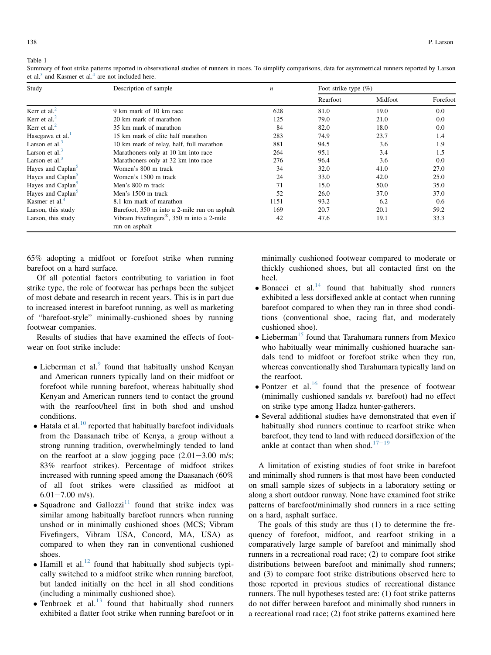<span id="page-1-0"></span>Table 1

| Study                         | Description of sample                                                    | $\boldsymbol{n}$ | Foot strike type $(\%)$ |         |          |
|-------------------------------|--------------------------------------------------------------------------|------------------|-------------------------|---------|----------|
|                               |                                                                          |                  | Rearfoot                | Midfoot | Forefoot |
| Kerr et al. $2$               | 9 km mark of 10 km race                                                  | 628              | 81.0                    | 19.0    | 0.0      |
| Kerr et al. $2$               | 20 km mark of marathon                                                   | 125              | 79.0                    | 21.0    | 0.0      |
| Kerr et al. $2$               | 35 km mark of marathon                                                   | 84               | 82.0                    | 18.0    | 0.0      |
| Hasegawa et al.               | 15 km mark of elite half marathon                                        | 283              | 74.9                    | 23.7    | 1.4      |
| Larson et al. $3$             | 10 km mark of relay, half, full marathon                                 | 881              | 94.5                    | 3.6     | 1.9      |
| Larson et al. $3$             | Marathoners only at 10 km into race                                      | 264              | 95.1                    | 3.4     | 1.5      |
| Larson et al. $3$             | Marathoners only at 32 km into race                                      | 276              | 96.4                    | 3.6     | 0.0      |
| Hayes and Caplan <sup>3</sup> | Women's 800 m track                                                      | 34               | 32.0                    | 41.0    | 27.0     |
| Hayes and Caplan <sup>5</sup> | Women's 1500 m track                                                     | 24               | 33.0                    | 42.0    | 25.0     |
| Hayes and Caplan <sup>5</sup> | Men's 800 m track                                                        | 71               | 15.0                    | 50.0    | 35.0     |
| Hayes and Caplan <sup>5</sup> | Men's 1500 m track                                                       | 52               | 26.0                    | 37.0    | 37.0     |
| Kasmer et al. <sup>4</sup>    | 8.1 km mark of marathon                                                  | 1151             | 93.2                    | 6.2     | 0.6      |
| Larson, this study            | Barefoot, 350 m into a 2-mile run on asphalt                             | 169              | 20.7                    | 20.1    | 59.2     |
| Larson, this study            | Vibram Five fingers <sup>®</sup> , 350 m into a 2-mile<br>run on asphalt | 42               | 47.6                    | 19.1    | 33.3     |

Summary of foot strike patterns reported in observational studies of runners in races. To simplify comparisons, data for asymmetrical runners reported by Larson et al. $3$  and Kasmer et al. $4$  are not included here.

65% adopting a midfoot or forefoot strike when running barefoot on a hard surface.

Of all potential factors contributing to variation in foot strike type, the role of footwear has perhaps been the subject of most debate and research in recent years. This is in part due to increased interest in barefoot running, as well as marketing of "barefoot-style" minimally-cushioned shoes by running footwear companies.

Results of studies that have examined the effects of footwear on foot strike include:

- $\bullet$  Lieberman et al.<sup>[9](#page-5-0)</sup> found that habitually unshod Kenyan and American runners typically land on their midfoot or forefoot while running barefoot, whereas habitually shod Kenyan and American runners tend to contact the ground with the rearfoot/heel first in both shod and unshod conditions.
- $\bullet$  Hatala et al.<sup>[10](#page-5-0)</sup> reported that habitually barefoot individuals from the Daasanach tribe of Kenya, a group without a strong running tradition, overwhelmingly tended to land on the rearfoot at a slow jogging pace  $(2.01-3.00 \text{ m/s})$ ; 83% rearfoot strikes). Percentage of midfoot strikes increased with running speed among the Daasanach (60% of all foot strikes were classified as midfoot at  $6.01 - 7.00$  m/s).
- $\bullet$  Squadrone and Gallozzi<sup>[11](#page-5-0)</sup> found that strike index was similar among habitually barefoot runners when running unshod or in minimally cushioned shoes (MCS; Vibram Fivefingers, Vibram USA, Concord, MA, USA) as compared to when they ran in conventional cushioned shoes.
- $\bullet$  Hamill et al.<sup>[12](#page-5-0)</sup> found that habitually shod subjects typically switched to a midfoot strike when running barefoot, but landed initially on the heel in all shod conditions (including a minimally cushioned shoe).
- $\bullet$  Tenbroek et al.<sup>[13](#page-5-0)</sup> found that habitually shod runners exhibited a flatter foot strike when running barefoot or in

minimally cushioned footwear compared to moderate or thickly cushioned shoes, but all contacted first on the heel.

- $\bullet$  Bonacci et al.<sup>[14](#page-5-0)</sup> found that habitually shod runners exhibited a less dorsiflexed ankle at contact when running barefoot compared to when they ran in three shod conditions (conventional shoe, racing flat, and moderately cushioned shoe).
- $\bullet$  Lieberman<sup>[15](#page-5-0)</sup> found that Tarahumara runners from Mexico who habitually wear minimally cushioned huarache sandals tend to midfoot or forefoot strike when they run, whereas conventionally shod Tarahumara typically land on the rearfoot.
- Pontzer et al. $^{16}$  $^{16}$  $^{16}$  found that the presence of footwear (minimally cushioned sandals vs. barefoot) had no effect on strike type among Hadza hunter-gatherers.
- Several additional studies have demonstrated that even if habitually shod runners continue to rearfoot strike when barefoot, they tend to land with reduced dorsiflexion of the ankle at contact than when shod. $17-19$  $17-19$  $17-19$

A limitation of existing studies of foot strike in barefoot and minimally shod runners is that most have been conducted on small sample sizes of subjects in a laboratory setting or along a short outdoor runway. None have examined foot strike patterns of barefoot/minimally shod runners in a race setting on a hard, asphalt surface.

The goals of this study are thus (1) to determine the frequency of forefoot, midfoot, and rearfoot striking in a comparatively large sample of barefoot and minimally shod runners in a recreational road race; (2) to compare foot strike distributions between barefoot and minimally shod runners; and (3) to compare foot strike distributions observed here to those reported in previous studies of recreational distance runners. The null hypotheses tested are: (1) foot strike patterns do not differ between barefoot and minimally shod runners in a recreational road race; (2) foot strike patterns examined here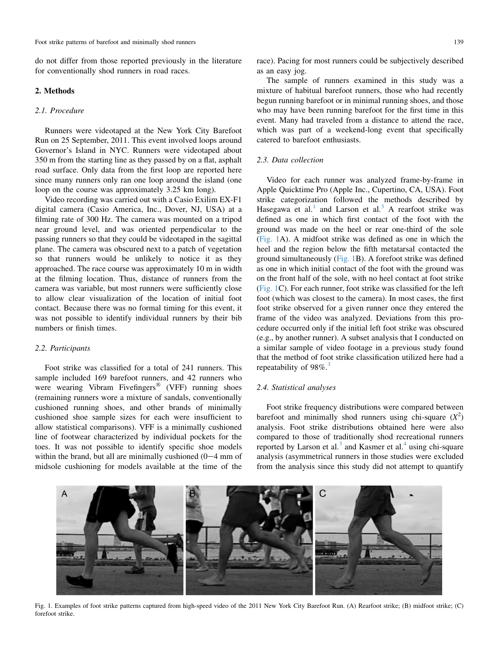do not differ from those reported previously in the literature for conventionally shod runners in road races.

# 2. Methods

# 2.1. Procedure

Runners were videotaped at the New York City Barefoot Run on 25 September, 2011. This event involved loops around Governor's Island in NYC. Runners were videotaped about 350 m from the starting line as they passed by on a flat, asphalt road surface. Only data from the first loop are reported here since many runners only ran one loop around the island (one loop on the course was approximately 3.25 km long).

Video recording was carried out with a Casio Exilim EX-F1 digital camera (Casio America, Inc., Dover, NJ, USA) at a filming rate of 300 Hz. The camera was mounted on a tripod near ground level, and was oriented perpendicular to the passing runners so that they could be videotaped in the sagittal plane. The camera was obscured next to a patch of vegetation so that runners would be unlikely to notice it as they approached. The race course was approximately 10 m in width at the filming location. Thus, distance of runners from the camera was variable, but most runners were sufficiently close to allow clear visualization of the location of initial foot contact. Because there was no formal timing for this event, it was not possible to identify individual runners by their bib numbers or finish times.

#### 2.2. Participants

Foot strike was classified for a total of 241 runners. This sample included 169 barefoot runners, and 42 runners who were wearing Vibram Fivefingers<sup>®</sup> (VFF) running shoes (remaining runners wore a mixture of sandals, conventionally cushioned running shoes, and other brands of minimally cushioned shoe sample sizes for each were insufficient to allow statistical comparisons). VFF is a minimally cushioned line of footwear characterized by individual pockets for the toes. It was not possible to identify specific shoe models within the brand, but all are minimally cushioned  $(0-4 \text{ mm of})$ midsole cushioning for models available at the time of the

race). Pacing for most runners could be subjectively described as an easy jog.

The sample of runners examined in this study was a mixture of habitual barefoot runners, those who had recently begun running barefoot or in minimal running shoes, and those who may have been running barefoot for the first time in this event. Many had traveled from a distance to attend the race, which was part of a weekend-long event that specifically catered to barefoot enthusiasts.

#### 2.3. Data collection

Video for each runner was analyzed frame-by-frame in Apple Quicktime Pro (Apple Inc., Cupertino, CA, USA). Foot strike categorization followed the methods described by Hasegawa et al.<sup>[1](#page-5-0)</sup> and Larson et al.<sup>[3](#page-5-0)</sup> A rearfoot strike was defined as one in which first contact of the foot with the ground was made on the heel or rear one-third of the sole (Fig. 1A). A midfoot strike was defined as one in which the heel and the region below the fifth metatarsal contacted the ground simultaneously (Fig. 1B). A forefoot strike was defined as one in which initial contact of the foot with the ground was on the front half of the sole, with no heel contact at foot strike (Fig. 1C). For each runner, foot strike was classified for the left foot (which was closest to the camera). In most cases, the first foot strike observed for a given runner once they entered the frame of the video was analyzed. Deviations from this procedure occurred only if the initial left foot strike was obscured (e.g., by another runner). A subset analysis that I conducted on a similar sample of video footage in a previous study found that the method of foot strike classification utilized here had a repeatability of  $98\%$ <sup>[3](#page-5-0)</sup>

#### 2.4. Statistical analyses

Foot strike frequency distributions were compared between barefoot and minimally shod runners using chi-square  $(X^2)$ analysis. Foot strike distributions obtained here were also compared to those of traditionally shod recreational runners reported by Larson et al. $3$  and Kasmer et al. $4$  using chi-square analysis (asymmetrical runners in those studies were excluded from the analysis since this study did not attempt to quantify



Fig. 1. Examples of foot strike patterns captured from high-speed video of the 2011 New York City Barefoot Run. (A) Rearfoot strike; (B) midfoot strike; (C) forefoot strike.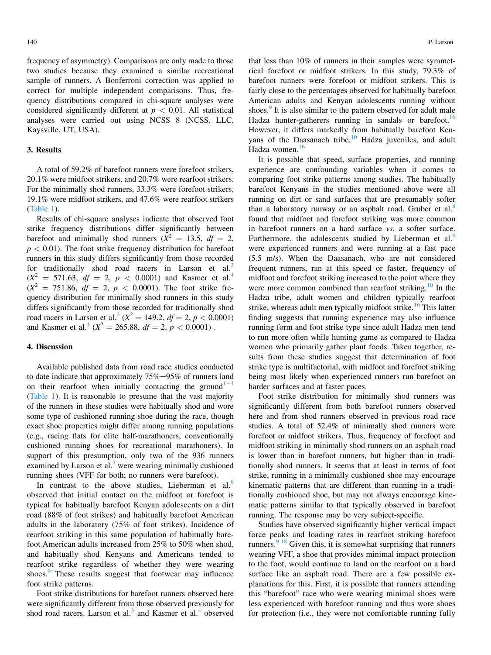frequency of asymmetry). Comparisons are only made to those two studies because they examined a similar recreational sample of runners. A Bonferroni correction was applied to correct for multiple independent comparisons. Thus, frequency distributions compared in chi-square analyses were considered significantly different at  $p < 0.01$ . All statistical analyses were carried out using NCSS 8 (NCSS, LLC, Kaysville, UT, USA).

# 3. Results

A total of 59.2% of barefoot runners were forefoot strikers, 20.1% were midfoot strikers, and 20.7% were rearfoot strikers. For the minimally shod runners, 33.3% were forefoot strikers, 19.1% were midfoot strikers, and 47.6% were rearfoot strikers [\(Table 1\)](#page-1-0).

Results of chi-square analyses indicate that observed foot strike frequency distributions differ significantly between barefoot and minimally shod runners  $(X^2 = 13.5, df = 2,$  $p < 0.01$ ). The foot strike frequency distribution for barefoot runners in this study differs significantly from those recorded for traditionally shod road racers in Larson et al.<sup>[3](#page-5-0)</sup>  $(X^2 = 571.63, df = 2, p < 0.0001)$  and Kasmer et al.<sup>[4](#page-5-0)</sup>  $(X^2 = 751.86, df = 2, p < 0.0001)$ . The foot strike frequency distribution for minimally shod runners in this study differs significantly from those recorded for traditionally shod road racers in Larson et al.<sup>[3](#page-5-0)</sup> ( $X^2 = 149.2$ ,  $df = 2$ ,  $p < 0.0001$ ) and Kasmer et al.<sup>[4](#page-5-0)</sup> ( $X^2 = 265.88$ ,  $df = 2$ ,  $p < 0.0001$ ).

# 4. Discussion

Available published data from road race studies conducted to date indicate that approximately  $75\% - 95\%$  of runners land on their rearfoot when initially contacting the ground<sup>[1](#page-5-0)-[4](#page-5-0)</sup> [\(Table 1](#page-1-0)). It is reasonable to presume that the vast majority of the runners in these studies were habitually shod and wore some type of cushioned running shoe during the race, though exact shoe properties might differ among running populations (e.g., racing flats for elite half-marathoners, conventionally cushioned running shoes for recreational marathoners). In support of this presumption, only two of the 936 runners examined by Larson et al. $3$  were wearing minimally cushioned running shoes (VFF for both; no runners were barefoot).

In contrast to the above studies, Lieberman et al. $9$ observed that initial contact on the midfoot or forefoot is typical for habitually barefoot Kenyan adolescents on a dirt road (88% of foot strikes) and habitually barefoot American adults in the laboratory (75% of foot strikes). Incidence of rearfoot striking in this same population of habitually barefoot American adults increased from 25% to 50% when shod, and habitually shod Kenyans and Americans tended to rearfoot strike regardless of whether they were wearing shoes.<sup>[9](#page-5-0)</sup> These results suggest that footwear may influence foot strike patterns.

Foot strike distributions for barefoot runners observed here were significantly different from those observed previously for shod road racers. Larson et al. $3$  and Kasmer et al. $4$  observed

that less than 10% of runners in their samples were symmetrical forefoot or midfoot strikers. In this study, 79.3% of barefoot runners were forefoot or midfoot strikers. This is fairly close to the percentages observed for habitually barefoot American adults and Kenyan adolescents running without shoes.<sup>[9](#page-5-0)</sup> It is also similar to the pattern observed for adult male Hadza hunter-gatherers running in sandals or barefoot.<sup>[16](#page-5-0)</sup> However, it differs markedly from habitually barefoot Ken-yans of the Daasanach tribe,<sup>[10](#page-5-0)</sup> Hadza juveniles, and adult Hadza women.<sup>[16](#page-5-0)</sup>

It is possible that speed, surface properties, and running experience are confounding variables when it comes to comparing foot strike patterns among studies. The habitually barefoot Kenyans in the studies mentioned above were all running on dirt or sand surfaces that are presumably softer than a laboratory runway or an asphalt road. Gruber et al. $\delta$ found that midfoot and forefoot striking was more common in barefoot runners on a hard surface vs. a softer surface. Furthermore, the adolescents studied by Lieberman et al.<sup>[9](#page-5-0)</sup> were experienced runners and were running at a fast pace (5.5 m/s). When the Daasanach, who are not considered frequent runners, ran at this speed or faster, frequency of midfoot and forefoot striking increased to the point where they were more common combined than rearfoot striking.<sup>[10](#page-5-0)</sup> In the Hadza tribe, adult women and children typically rearfoot strike, whereas adult men typically midfoot strike.<sup>[16](#page-5-0)</sup> This latter finding suggests that running experience may also influence running form and foot strike type since adult Hadza men tend to run more often while hunting game as compared to Hadza women who primarily gather plant foods. Taken together, results from these studies suggest that determination of foot strike type is multifactorial, with midfoot and forefoot striking being most likely when experienced runners run barefoot on harder surfaces and at faster paces.

Foot strike distribution for minimally shod runners was significantly different from both barefoot runners observed here and from shod runners observed in previous road race studies. A total of 52.4% of minimally shod runners were forefoot or midfoot strikers. Thus, frequency of forefoot and midfoot striking in minimally shod runners on an asphalt road is lower than in barefoot runners, but higher than in traditionally shod runners. It seems that at least in terms of foot strike, running in a minimally cushioned shoe may encourage kinematic patterns that are different than running in a traditionally cushioned shoe, but may not always encourage kinematic patterns similar to that typically observed in barefoot running. The response may be very subject-specific.

Studies have observed significantly higher vertical impact force peaks and loading rates in rearfoot striking barefoot runners. $9,18$  Given this, it is somewhat surprising that runners wearing VFF, a shoe that provides minimal impact protection to the foot, would continue to land on the rearfoot on a hard surface like an asphalt road. There are a few possible explanations for this. First, it is possible that runners attending this "barefoot" race who were wearing minimal shoes were less experienced with barefoot running and thus wore shoes for protection (i.e., they were not comfortable running fully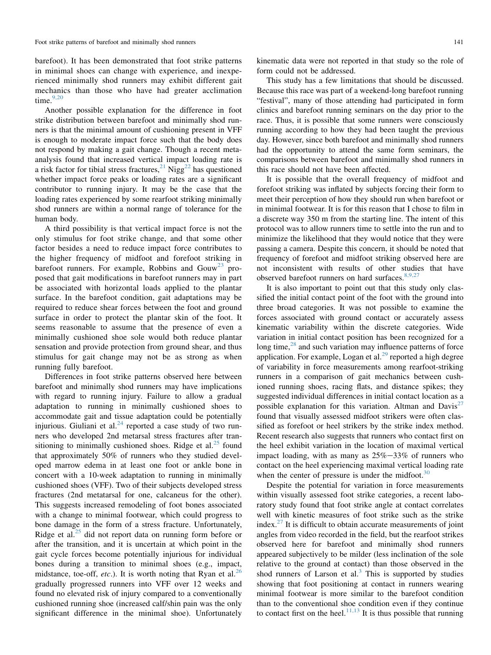barefoot). It has been demonstrated that foot strike patterns in minimal shoes can change with experience, and inexperienced minimally shod runners may exhibit different gait mechanics than those who have had greater acclimation time. $9,20$ 

Another possible explanation for the difference in foot strike distribution between barefoot and minimally shod runners is that the minimal amount of cushioning present in VFF is enough to moderate impact force such that the body does not respond by making a gait change. Though a recent metaanalysis found that increased vertical impact loading rate is a risk factor for tibial stress fractures,<sup>[21](#page-5-0)</sup> Nigg<sup>[22](#page-5-0)</sup> has questioned whether impact force peaks or loading rates are a significant contributor to running injury. It may be the case that the loading rates experienced by some rearfoot striking minimally shod runners are within a normal range of tolerance for the human body.

A third possibility is that vertical impact force is not the only stimulus for foot strike change, and that some other factor besides a need to reduce impact force contributes to the higher frequency of midfoot and forefoot striking in barefoot runners. For example, Robbins and Gouw<sup>[23](#page-5-0)</sup> proposed that gait modifications in barefoot runners may in part be associated with horizontal loads applied to the plantar surface. In the barefoot condition, gait adaptations may be required to reduce shear forces between the foot and ground surface in order to protect the plantar skin of the foot. It seems reasonable to assume that the presence of even a minimally cushioned shoe sole would both reduce plantar sensation and provide protection from ground shear, and thus stimulus for gait change may not be as strong as when running fully barefoot.

Differences in foot strike patterns observed here between barefoot and minimally shod runners may have implications with regard to running injury. Failure to allow a gradual adaptation to running in minimally cushioned shoes to accommodate gait and tissue adaptation could be potentially injurious. Giuliani et al. $^{24}$  $^{24}$  $^{24}$  reported a case study of two runners who developed 2nd metarsal stress fractures after transitioning to minimally cushioned shoes. Ridge et al. $^{25}$  $^{25}$  $^{25}$  found that approximately 50% of runners who they studied developed marrow edema in at least one foot or ankle bone in concert with a 10-week adaptation to running in minimally cushioned shoes (VFF). Two of their subjects developed stress fractures (2nd metatarsal for one, calcaneus for the other). This suggests increased remodeling of foot bones associated with a change to minimal footwear, which could progress to bone damage in the form of a stress fracture. Unfortunately, Ridge et al. $^{25}$  $^{25}$  $^{25}$  did not report data on running form before or after the transition, and it is uncertain at which point in the gait cycle forces become potentially injurious for individual bones during a transition to minimal shoes (e.g., impact, midstance, toe-off, *etc.*). It is worth noting that Ryan et al.<sup>[26](#page-5-0)</sup> gradually progressed runners into VFF over 12 weeks and found no elevated risk of injury compared to a conventionally cushioned running shoe (increased calf/shin pain was the only significant difference in the minimal shoe). Unfortunately kinematic data were not reported in that study so the role of form could not be addressed.

This study has a few limitations that should be discussed. Because this race was part of a weekend-long barefoot running "festival", many of those attending had participated in form clinics and barefoot running seminars on the day prior to the race. Thus, it is possible that some runners were consciously running according to how they had been taught the previous day. However, since both barefoot and minimally shod runners had the opportunity to attend the same form seminars, the comparisons between barefoot and minimally shod runners in this race should not have been affected.

It is possible that the overall frequency of midfoot and forefoot striking was inflated by subjects forcing their form to meet their perception of how they should run when barefoot or in minimal footwear. It is for this reason that I chose to film in a discrete way 350 m from the starting line. The intent of this protocol was to allow runners time to settle into the run and to minimize the likelihood that they would notice that they were passing a camera. Despite this concern, it should be noted that frequency of forefoot and midfoot striking observed here are not inconsistent with results of other studies that have observed barefoot runners on hard surfaces. $8,9,27$ 

It is also important to point out that this study only classified the initial contact point of the foot with the ground into three broad categories. It was not possible to examine the forces associated with ground contact or accurately assess kinematic variability within the discrete categories. Wide variation in initial contact position has been recognized for a long time, $28$  and such variation may influence patterns of force application. For example, Logan et al. $^{29}$  $^{29}$  $^{29}$  reported a high degree of variability in force measurements among rearfoot-striking runners in a comparison of gait mechanics between cushioned running shoes, racing flats, and distance spikes; they suggested individual differences in initial contact location as a possible explanation for this variation. Altman and  $Davis^{27}$  $Davis^{27}$  $Davis^{27}$ found that visually assessed midfoot strikers were often classified as forefoot or heel strikers by the strike index method. Recent research also suggests that runners who contact first on the heel exhibit variation in the location of maximal vertical impact loading, with as many as  $25\% - 33\%$  of runners who contact on the heel experiencing maximal vertical loading rate when the center of pressure is under the midfoot. $30$ 

Despite the potential for variation in force measurements within visually assessed foot strike categories, a recent laboratory study found that foot strike angle at contact correlates well with kinetic measures of foot strike such as the strike index. $27$  It is difficult to obtain accurate measurements of joint angles from video recorded in the field, but the rearfoot strikes observed here for barefoot and minimally shod runners appeared subjectively to be milder (less inclination of the sole relative to the ground at contact) than those observed in the shod runners of Larson et al.<sup>[3](#page-5-0)</sup> This is supported by studies showing that foot positioning at contact in runners wearing minimal footwear is more similar to the barefoot condition than to the conventional shoe condition even if they continue to contact first on the heel. $^{11,13}$  $^{11,13}$  $^{11,13}$  It is thus possible that running